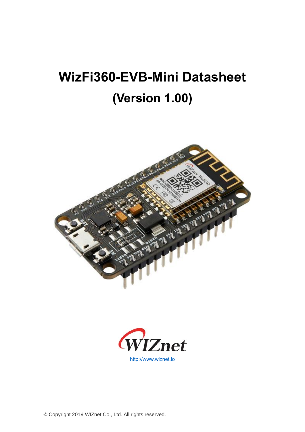# **WizFi360-EVB-Mini Datasheet (Version 1.00)**





© Copyright 2019 WIZnet Co., Ltd. All rights reserved.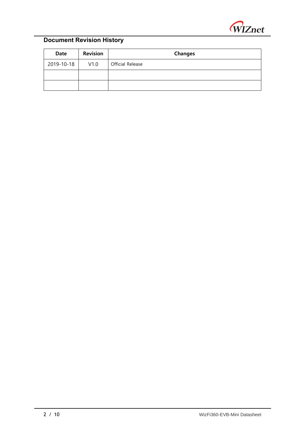

#### **Document Revision History**

| Date       | <b>Revision</b> | <b>Changes</b>   |
|------------|-----------------|------------------|
| 2019-10-18 | V1.0            | Official Release |
|            |                 |                  |
|            |                 |                  |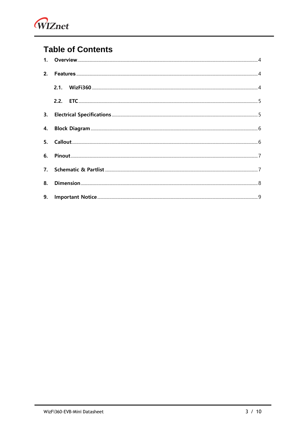

#### **Table of Contents**

| 9. |  |
|----|--|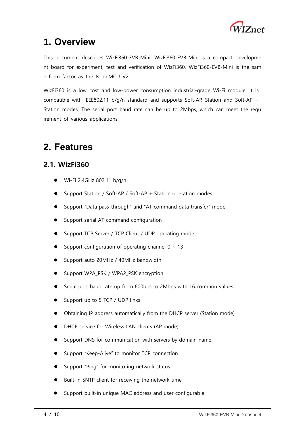

#### <span id="page-3-0"></span>**1. Overview**

This document describes WizFi360-EVB-Mini. WizFi360-EVB-Mini is a compact developme nt board for experiment, test and verification of WizFi360. WizFi360-EVB-Mini is the sam e form factor as the NodeMCU V2.

WizFi360 is a low cost and low-power consumption industrial-grade Wi-Fi module. It is compatible with IEEE802.11 b/g/n standard and supports Soft-AP, Station and Soft-AP + Station modes. The serial port baud rate can be up to 2Mbps, which can meet the requ irement of various applications.

#### <span id="page-3-1"></span>**2. Features**

#### <span id="page-3-2"></span>**2.1. WizFi360**

- ⚫ Wi-Fi 2.4GHz 802.11 b/g/n
- ⚫ Support Station / Soft-AP / Soft-AP + Station operation modes
- ⚫ Support "Data pass-through" and "AT command data transfer" mode
- ⚫ Support serial AT command configuration
- Support TCP Server / TCP Client / UDP operating mode
- Support configuration of operating channel  $0 \sim 13$
- ⚫ Support auto 20MHz / 40MHz bandwidth
- ⚫ Support WPA\_PSK / WPA2\_PSK encryption
- Serial port baud rate up from 600bps to 2Mbps with 16 common values
- Support up to 5 TCP / UDP links
- ⚫ Obtaining IP address automatically from the DHCP server (Station mode)
- ⚫ DHCP service for Wireless LAN clients (AP mode)
- Support DNS for communication with servers by domain name
- ⚫ Support "Keep-Alive" to monitor TCP connection
- ⚫ Support "Ping" for monitoring network status
- Built-in SNTP client for receiving the network time
- ⚫ Support built-in unique MAC address and user configurable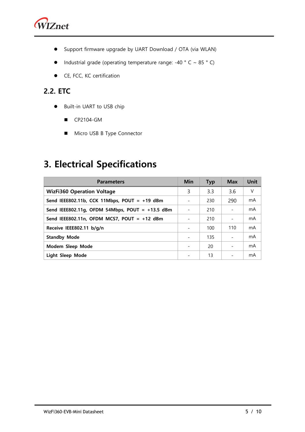

- ⚫ Support firmware upgrade by UART Download / OTA (via WLAN)
- $\bullet$  Industrial grade (operating temperature range: -40 ° C ~ 85 ° C)
- CE, FCC, KC certification

#### <span id="page-4-0"></span>**2.2. ETC**

- Built-in UART to USB chip
	- CP2104-GM
	- Micro USB B Type Connector

#### <span id="page-4-1"></span>**3. Electrical Specifications**

| <b>Parameters</b>                                 | Min | <b>Typ</b> | <b>Max</b> | Unit |
|---------------------------------------------------|-----|------------|------------|------|
| <b>WizFi360 Operation Voltage</b>                 |     | 3.3        | 3.6        | V    |
| Send IEEE802.11b, CCK 11Mbps, POUT = +19 dBm      |     | 230        | 290        | mA   |
| Send IEEE802.11g, OFDM 54Mbps, POUT = $+13.5$ dBm |     | 210        |            | mA   |
| Send IEEE802.11n, OFDM MCS7, POUT = $+12$ dBm     |     | 210        |            | mA   |
| Receive IEEE802.11 b/g/n                          |     | 100        | 110        | mA   |
| <b>Standby Mode</b>                               |     | 135        |            | mA   |
| Modem Sleep Mode                                  |     | 20         |            | mA   |
| <b>Light Sleep Mode</b>                           |     | 13         |            | mA   |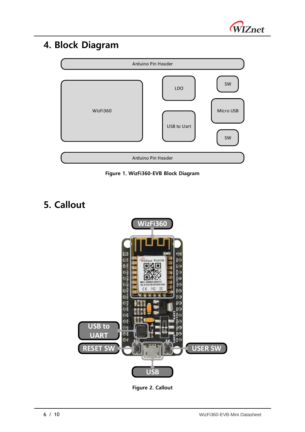

## <span id="page-5-0"></span>**4. Block Diagram**



**Figure 1. WizFi360-EVB Block Diagram**

### <span id="page-5-1"></span>**5. Callout**



**Figure 2. Callout**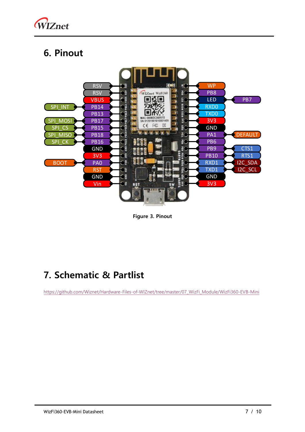

## <span id="page-6-0"></span>**6. Pinout**



**Figure 3. Pinout**

### <span id="page-6-1"></span>**7. Schematic & Partlist**

[https://github.com/Wiznet/Hardware-Files-of-WIZnet/tree/master/07\\_WizFi\\_Module/WizFi360-EVB-Mini](https://github.com/Wiznet/Hardware-Files-of-WIZnet/tree/master/07_WizFi_Module/WizFi360-EVB-Mini)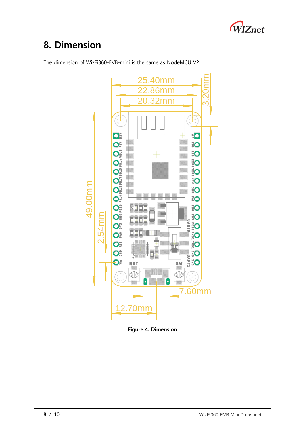

## <span id="page-7-0"></span>**8. Dimension**

The dimension of WizFi360-EVB-mini is the same as NodeMCU V2



**Figure 4. Dimension**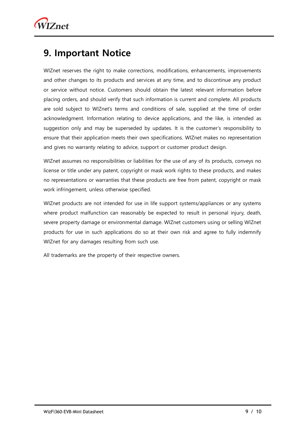

#### <span id="page-8-0"></span>**9. Important Notice**

WIZnet reserves the right to make corrections, modifications, enhancements, improvements and other changes to its products and services at any time, and to discontinue any product or service without notice. Customers should obtain the latest relevant information before placing orders, and should verify that such information is current and complete. All products are sold subject to WIZnet's terms and conditions of sale, supplied at the time of order acknowledgment. Information relating to device applications, and the like, is intended as suggestion only and may be superseded by updates. It is the customer's responsibility to ensure that their application meets their own specifications. WIZnet makes no representation and gives no warranty relating to advice, support or customer product design.

WIZnet assumes no responsibilities or liabilities for the use of any of its products, conveys no license or title under any patent, copyright or mask work rights to these products, and makes no representations or warranties that these products are free from patent, copyright or mask work infringement, unless otherwise specified.

WIZnet products are not intended for use in life support systems/appliances or any systems where product malfunction can reasonably be expected to result in personal injury, death, severe property damage or environmental damage. WIZnet customers using or selling WIZnet products for use in such applications do so at their own risk and agree to fully indemnify WIZnet for any damages resulting from such use.

All trademarks are the property of their respective owners.